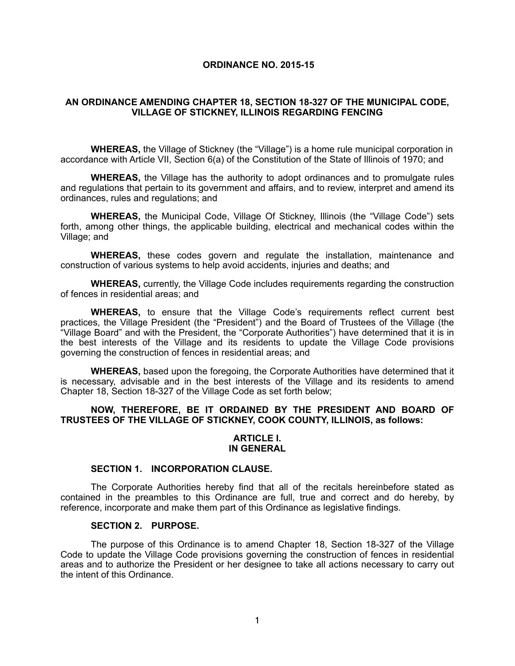#### **ORDINANCE NO. 2015-15**

### **AN ORDINANCE AMENDING CHAPTER 18, SECTION 18-327 OF THE MUNICIPAL CODE, VILLAGE OF STICKNEY, ILLINOIS REGARDING FENCING**

**WHEREAS,** the Village of Stickney (the "Village") is a home rule municipal corporation in accordance with Article VII, Section 6(a) of the Constitution of the State of Illinois of 1970; and

**WHEREAS,** the Village has the authority to adopt ordinances and to promulgate rules and regulations that pertain to its government and affairs, and to review, interpret and amend its ordinances, rules and regulations; and

**WHEREAS,** the Municipal Code, Village Of Stickney, Illinois (the "Village Code") sets forth, among other things, the applicable building, electrical and mechanical codes within the Village; and

**WHEREAS,** these codes govern and regulate the installation, maintenance and construction of various systems to help avoid accidents, injuries and deaths; and

**WHEREAS,** currently, the Village Code includes requirements regarding the construction of fences in residential areas; and

**WHEREAS,** to ensure that the Village Code's requirements reflect current best practices, the Village President (the "President") and the Board of Trustees of the Village (the "Village Board" and with the President, the "Corporate Authorities") have determined that it is in the best interests of the Village and its residents to update the Village Code provisions governing the construction of fences in residential areas; and

**WHEREAS,** based upon the foregoing, the Corporate Authorities have determined that it is necessary, advisable and in the best interests of the Village and its residents to amend Chapter 18, Section 18-327 of the Village Code as set forth below;

### **NOW, THEREFORE, BE IT ORDAINED BY THE PRESIDENT AND BOARD OF TRUSTEES OF THE VILLAGE OF STICKNEY, COOK COUNTY, ILLINOIS, as follows:**

#### **ARTICLE I. IN GENERAL**

## **SECTION 1. INCORPORATION CLAUSE.**

The Corporate Authorities hereby find that all of the recitals hereinbefore stated as contained in the preambles to this Ordinance are full, true and correct and do hereby, by reference, incorporate and make them part of this Ordinance as legislative findings.

#### **SECTION 2. PURPOSE.**

The purpose of this Ordinance is to amend Chapter 18, Section 18-327 of the Village Code to update the Village Code provisions governing the construction of fences in residential areas and to authorize the President or her designee to take all actions necessary to carry out the intent of this Ordinance.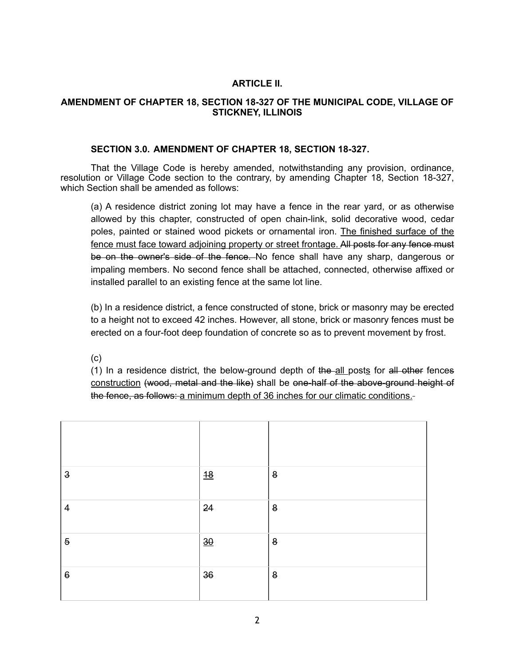# **ARTICLE II.**

# **AMENDMENT OF CHAPTER 18, SECTION 18-327 OF THE MUNICIPAL CODE, VILLAGE OF STICKNEY, ILLINOIS**

### **SECTION 3.0. AMENDMENT OF CHAPTER 18, SECTION 18-327.**

That the Village Code is hereby amended, notwithstanding any provision, ordinance, resolution or Village Code section to the contrary, by amending Chapter 18, Section 18-327, which Section shall be amended as follows:

(a) A residence district zoning lot may have a fence in the rear yard, or as otherwise allowed by this chapter, constructed of open chain-link, solid decorative wood, cedar poles, painted or stained wood pickets or ornamental iron. The finished surface of the fence must face toward adjoining property or street frontage. All posts for any fence must be on the owner's side of the fence. No fence shall have any sharp, dangerous or impaling members. No second fence shall be attached, connected, otherwise affixed or installed parallel to an existing fence at the same lot line.

(b) In a residence district, a fence constructed of stone, brick or masonry may be erected to a height not to exceed 42 inches. However, all stone, brick or masonry fences must be erected on a four-foot deep foundation of concrete so as to prevent movement by frost.

(c)

(1) In a residence district, the below-ground depth of the all posts for all other fences construction (wood, metal and the like) shall be one-half of the above-ground height of the fence, as follows: a minimum depth of 36 inches for our climatic conditions.

| $\vartheta$             | $\frac{48}{5}$ | $\pmb{8}$ |
|-------------------------|----------------|-----------|
| $\overline{4}$          | 24             | $\pmb{8}$ |
| $\overline{5}$          | $\frac{30}{2}$ | $\pmb{8}$ |
| $\boldsymbol{\uptheta}$ | 36             | 8         |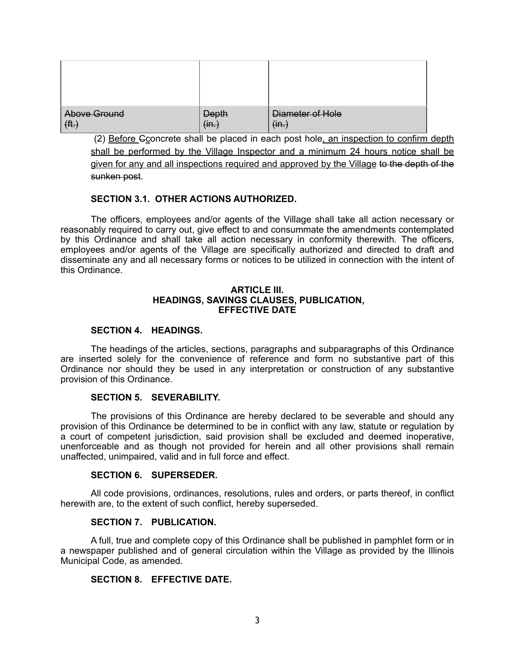| Above Ground | <b>Depth</b> | Diameter of Hole |
|--------------|--------------|------------------|
| (H.)         | $im.$        | (m.)             |

(2) Before Cconcrete shall be placed in each post hole, an inspection to confirm depth shall be performed by the Village Inspector and a minimum 24 hours notice shall be given for any and all inspections required and approved by the Village to the depth of the sunken post.

# **SECTION 3.1. OTHER ACTIONS AUTHORIZED.**

The officers, employees and/or agents of the Village shall take all action necessary or reasonably required to carry out, give effect to and consummate the amendments contemplated by this Ordinance and shall take all action necessary in conformity therewith. The officers, employees and/or agents of the Village are specifically authorized and directed to draft and disseminate any and all necessary forms or notices to be utilized in connection with the intent of this Ordinance.

#### **ARTICLE III. HEADINGS, SAVINGS CLAUSES, PUBLICATION, EFFECTIVE DATE**

### **SECTION 4. HEADINGS.**

The headings of the articles, sections, paragraphs and subparagraphs of this Ordinance are inserted solely for the convenience of reference and form no substantive part of this Ordinance nor should they be used in any interpretation or construction of any substantive provision of this Ordinance.

## **SECTION 5. SEVERABILITY.**

The provisions of this Ordinance are hereby declared to be severable and should any provision of this Ordinance be determined to be in conflict with any law, statute or regulation by a court of competent jurisdiction, said provision shall be excluded and deemed inoperative, unenforceable and as though not provided for herein and all other provisions shall remain unaffected, unimpaired, valid and in full force and effect.

#### **SECTION 6. SUPERSEDER.**

All code provisions, ordinances, resolutions, rules and orders, or parts thereof, in conflict herewith are, to the extent of such conflict, hereby superseded.

#### **SECTION 7. PUBLICATION.**

A full, true and complete copy of this Ordinance shall be published in pamphlet form or in a newspaper published and of general circulation within the Village as provided by the Illinois Municipal Code, as amended.

# **SECTION 8. EFFECTIVE DATE.**